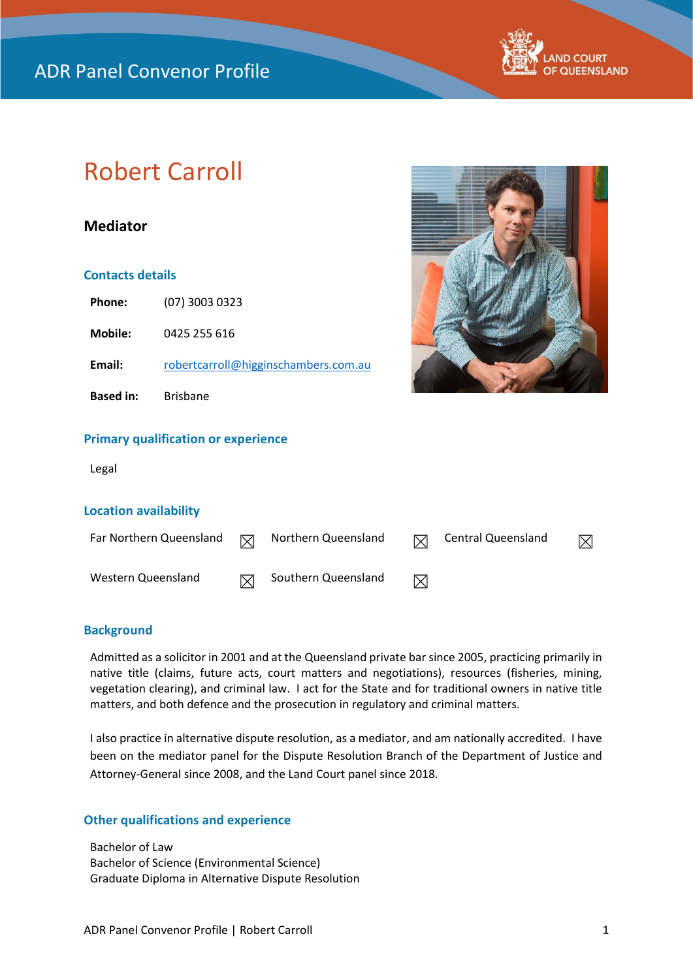

# Robert Carroll

# **Mediator**

# **Contacts details**

| <b>Phone:</b>    | $(07)$ 3003 0323                     |
|------------------|--------------------------------------|
| Mobile:          | 0425 255 616                         |
| Email:           | robertcarroll@higginschambers.com.au |
| <b>Based in:</b> | <b>Brisbane</b>                      |
|                  |                                      |



## **Primary qualification or experience**

Legal

#### **Location availability**

| Far Northern Queensland | $\triangledown$ | Northern Queensland | 冈 | Central Queensland |  |
|-------------------------|-----------------|---------------------|---|--------------------|--|
| Western Queensland      | IX              | Southern Queensland | ⊠ |                    |  |

## **Background**

Admitted as a solicitor in 2001 and at the Queensland private bar since 2005, practicing primarily in native title (claims, future acts, court matters and negotiations), resources (fisheries, mining, vegetation clearing), and criminal law. I act for the State and for traditional owners in native title matters, and both defence and the prosecution in regulatory and criminal matters.

I also practice in alternative dispute resolution, as a mediator, and am nationally accredited. I have been on the mediator panel for the Dispute Resolution Branch of the Department of Justice and Attorney-General since 2008, and the Land Court panel since 2018*.*

# **Other qualifications and experience**

Bachelor of Law Bachelor of Science (Environmental Science) Graduate Diploma in Alternative Dispute Resolution